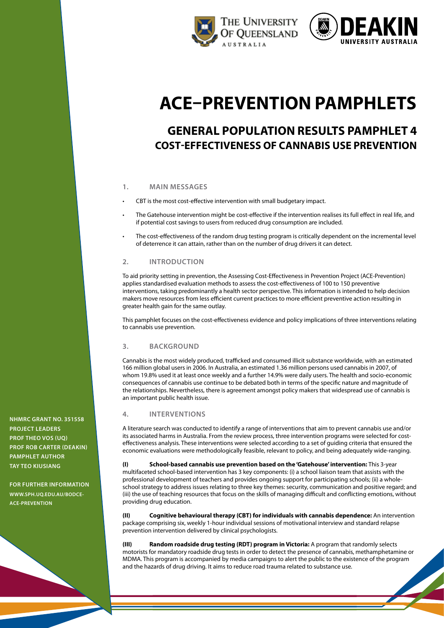



# **ACE–Prevention pamphlets**

# **General population results pamphlet 4 cost-effectiveness of CANNABIS USE PREVENTION**

### **1. main messages**

- CBT is the most cost-effective intervention with small budgetary impact.
- The Gatehouse intervention might be cost-effective if the intervention realises its full effect in real life, and if potential cost savings to users from reduced drug consumption are included.
- The cost-effectiveness of the random drug testing program is critically dependent on the incremental level of deterrence it can attain, rather than on the number of drug drivers it can detect.

### **2. introduction**

To aid priority setting in prevention, the Assessing Cost-Effectiveness in Prevention Project (ACE-Prevention) applies standardised evaluation methods to assess the cost-effectiveness of 100 to 150 preventive interventions, taking predominantly a health sector perspective. This information is intended to help decision makers move resources from less efficient current practices to more efficient preventive action resulting in greater health gain for the same outlay.

This pamphlet focuses on the cost-effectiveness evidence and policy implications of three interventions relating to cannabis use prevention.

### **3. background**

Cannabis is the most widely produced, trafficked and consumed illicit substance worldwide, with an estimated 166 million global users in 2006. In Australia, an estimated 1.36 million persons used cannabis in 2007, of whom 19.8% used it at least once weekly and a further 14.9% were daily users. The health and socio-economic consequences of cannabis use continue to be debated both in terms of the specific nature and magnitude of the relationships. Nevertheless, there is agreement amongst policy makers that widespread use of cannabis is an important public health issue.

### **4. interventions**

A literature search was conducted to identify a range of interventions that aim to prevent cannabis use and/or its associated harms in Australia. From the review process, three intervention programs were selected for costeffectiveness analysis. These interventions were selected according to a set of guiding criteria that ensured the economic evaluations were methodologically feasible, relevant to policy, and being adequately wide-ranging.

**(I) School-based cannabis use prevention based on the 'Gatehouse' intervention:** This 3-year multifaceted school-based intervention has 3 key components: (i) a school liaison team that assists with the professional development of teachers and provides ongoing support for participating schools; (ii) a wholeschool strategy to address issues relating to three key themes: security, communication and positive regard; and (iii) the use of teaching resources that focus on the skills of managing difficult and conflicting emotions, without providing drug education.

**(II) Cognitive behavioural therapy (CBT) for individuals with cannabis dependence:** An intervention package comprising six, weekly 1-hour individual sessions of motivational interview and standard relapse prevention intervention delivered by clinical psychologists.

**(III) Random roadside drug testing (RDT) program in Victoria:** A program that randomly selects motorists for mandatory roadside drug tests in order to detect the presence of cannabis, methamphetamine or MDMA. This program is accompanied by media campaigns to alert the public to the existence of the program and the hazards of drug driving. It aims to reduce road trauma related to substance use.

**NHMRC Grant No. 351558 project leaders Prof Theo Vos (UQ) Prof Rob Carter (Deakin) pamphlet author TAY TEO KIUSIANG**

**For further information www.SPH.[uq.edu.au/bodce](http://www.sph.uq.edu.au/bodce-ace-prevention)-ACE-PREVENTION**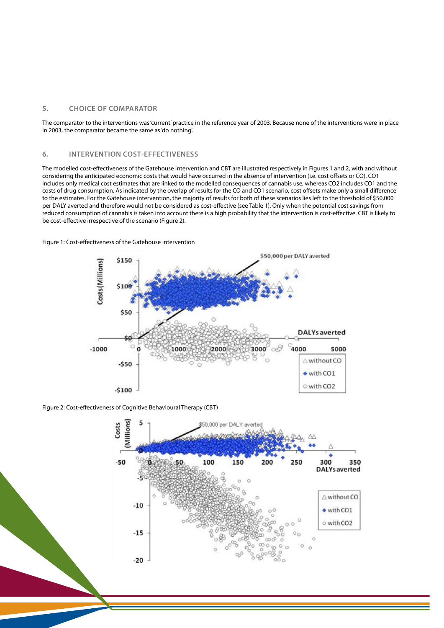### **5. Choice of comparator**

The comparator to the interventions was 'current' practice in the reference year of 2003. Because none of the interventions were in place in 2003, the comparator became the same as 'do nothing'.

### **6. intervention cost-effectiveness**

The modelled cost-effectiveness of the Gatehouse intervention and CBT are illustrated respectively in Figures 1 and 2, with and without considering the anticipated economic costs that would have occurred in the absence of intervention (i.e. cost offsets or CO). CO1 includes only medical cost estimates that are linked to the modelled consequences of cannabis use, whereas CO2 includes CO1 and the costs of drug consumption. As indicated by the overlap of results for the CO and CO1 scenario, cost offsets make only a small difference to the estimates. For the Gatehouse intervention, the majority of results for both of these scenarios lies left to the threshold of \$50,000 per DALY averted and therefore would not be considered as cost-effective (see Table 1). Only when the potential cost savings from reduced consumption of cannabis is taken into account there is a high probability that the intervention is cost-effective. CBT is likely to be cost-effective irrespective of the scenario (Figure 2).



Figure 1: Cost-effectiveness of the Gatehouse intervention

Figure 2: Cost-effectiveness of Cognitive Behavioural Therapy (CBT)

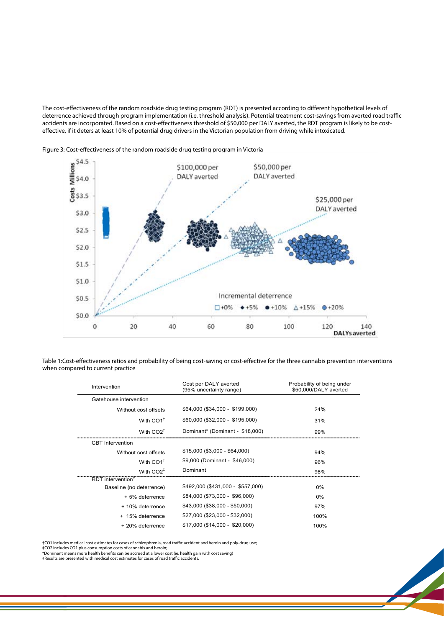The cost-effectiveness of the random roadside drug testing program (RDT) is presented according to different hypothetical levels of deterrence achieved through program implementation (i.e. threshold analysis). Potential treatment cost-savings from averted road traffic accidents are incorporated. Based on a cost-effectiveness threshold of \$50,000 per DALY averted, the RDT program is likely to be costeffective, if it deters at least 10% of potential drug drivers in the Victorian population from driving while intoxicated.



Figure 3: Cost-effectiveness of the random roadside drug testing program in Victoria

Table 1:Cost-effectiveness ratios and probability of being cost-saving or cost-effective for the three cannabis prevention interventions when compared to current practice

| \$50,000/DALY averted |
|-----------------------|
|                       |
|                       |
|                       |
|                       |
|                       |
|                       |
|                       |
|                       |
|                       |
|                       |
|                       |
|                       |
|                       |
|                       |
|                       |

†CO1 includes medical cost estimates for cases of schizophrenia, road traffic accident and heroin and poly-drug use;

‡CO2 includes CO1 plus consumption costs of cannabis and heroin; \*Dominant means more health benefits can be accrued at a lower cost (ie. health gain with cost saving)

#Results are presented with medical cost estimates for cases of road traffic accidents.